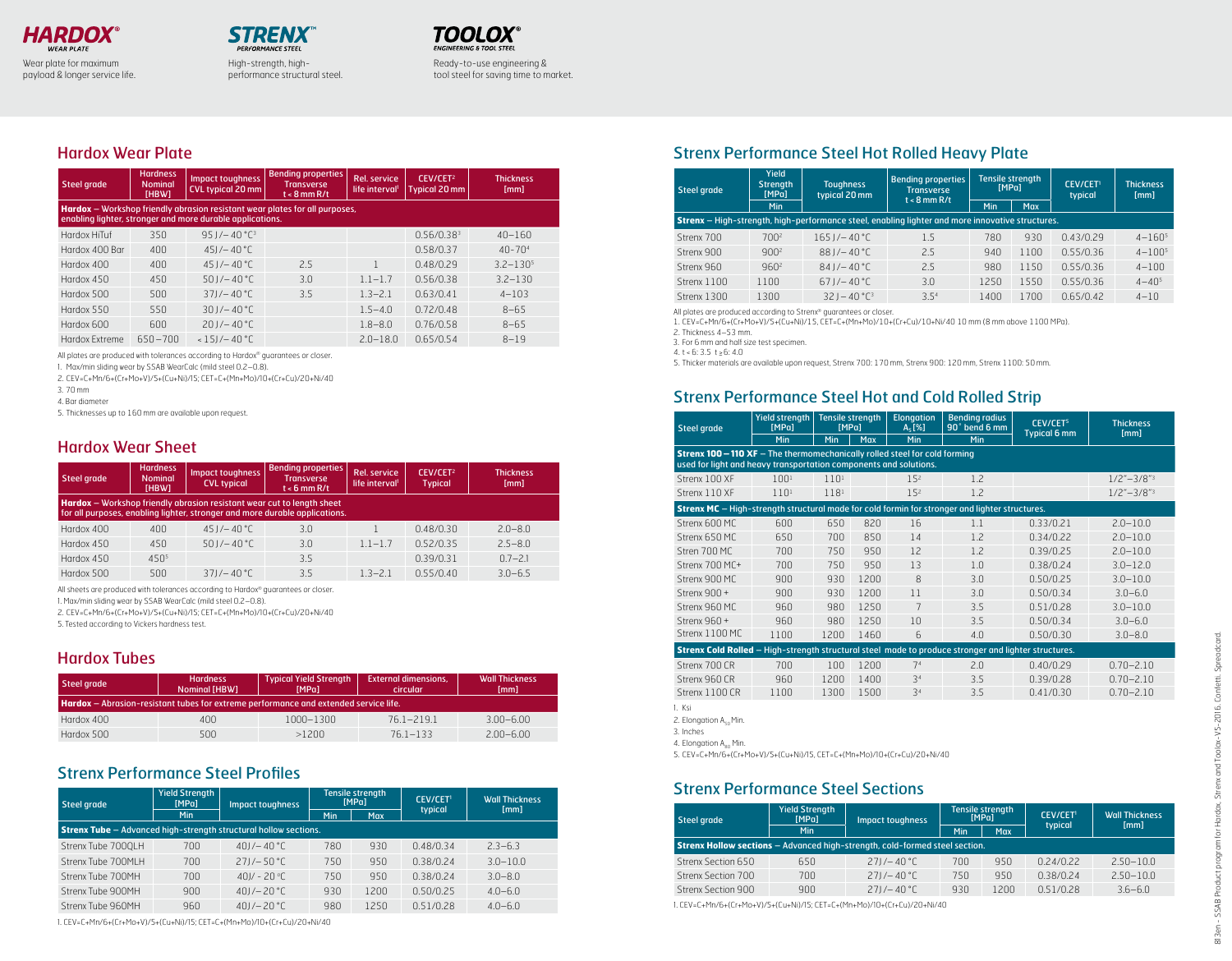

payload & longer service life.

High-strength, highperformance structural steel.



Ready-to-use engineering & tool steel for saving time to market.

## Hardox Wear Plate

| <b>Steel grade</b> | <b>Hardness</b><br><b>Nominal</b><br>[HBW] | <b>Impact toughness</b><br><b>CVL typical 20 mm</b>       | <b>Bending properties</b><br><b>Transverse</b><br>$t < 8$ mm R/t            | <b>Rel. service</b><br>life interval <sup>1</sup> | CEV/CET <sup>2</sup><br><b>Typical 20 mm</b> | Thickness<br>[mm] |
|--------------------|--------------------------------------------|-----------------------------------------------------------|-----------------------------------------------------------------------------|---------------------------------------------------|----------------------------------------------|-------------------|
|                    |                                            | enabling lighter, stronger and more durable applications. | Hardox - Workshop friendly abrasion resistant wear plates for all purposes, |                                                   |                                              |                   |
| Hardox HiTuf       | 350                                        | $951/-40 °C^3$                                            |                                                                             |                                                   | 0.56/0.38 <sup>3</sup>                       | $40 - 160$        |
| Hardox 400 Bar     | 400                                        | $45J - 40^{\circ}$ C                                      |                                                                             |                                                   | 0.58/0.37                                    | $40 - 704$        |
| Hardox 400         | 400                                        | $451/-40°C$                                               | 2.5                                                                         |                                                   | 0.48/0.29                                    | $3.2 - 1.305$     |
| Hardox 450         | 450                                        | $50$ J/ $-40$ °C                                          | 3.0                                                                         | $1.1 - 1.7$                                       | 0.56/0.38                                    | $3.2 - 130$       |
| Hardox 500         | 500                                        | $371/-40 °C$                                              | 3.5                                                                         | $1.3 - 2.1$                                       | 0.63/0.41                                    | $4 - 103$         |
| Hardox 550         | 550                                        | $301/-40°C$                                               |                                                                             | $1.5 - 4.0$                                       | 0.72/0.48                                    | $8 - 65$          |
| Hardox 600         | 600                                        | $201/-40 °C$                                              |                                                                             | $1.8 - 8.0$                                       | 0.76/0.58                                    | $8 - 65$          |
| Hardox Extreme     | $650 - 700$                                | $< 151/- 40 °C$                                           |                                                                             | $2.0 - 18.0$                                      | 0.65/0.54                                    | $8 - 19$          |

All plates are produced with tolerances according to Hardox® guarantees or closer.

1. Max/min sliding wear by SSAB WearCalc (mild steel 0.2–0.8).

2. CEV=C+Mn/6+(Cr+Mo+V)/5+(Cu+Ni)/15; CET=C+(Mn+Mo)/10+(Cr+Cu)/20+Ni/40

3. 70 mm

4. Bar diameter

5. Thicknesses up to 160 mm are available upon request.

### Hardox Wear Sheet

| Steel grade                                                                                                                                                  | <b>Hardness</b><br><b>Nominal</b><br>[HBW] | Impact toughness<br><b>CVL typical</b> | <b>Bending properties</b><br><b>Transverse</b><br>$t < 6$ mm R/t | <b>Rel.</b> service<br>life interval <sup>1</sup> | CEV/CET <sup>2</sup><br><b>Typical</b> | <b>Thickness</b><br>[mm] |  |  |
|--------------------------------------------------------------------------------------------------------------------------------------------------------------|--------------------------------------------|----------------------------------------|------------------------------------------------------------------|---------------------------------------------------|----------------------------------------|--------------------------|--|--|
| <b>Hardox</b> - Workshop friendly abrasion resistant wear cut to length sheet<br>for all purposes, enabling lighter, stronger and more durable applications. |                                            |                                        |                                                                  |                                                   |                                        |                          |  |  |
| Hardox 400                                                                                                                                                   | 400                                        | $451/-40°C$                            | 3.0                                                              |                                                   | 0.48/0.30                              | $2.0 - 8.0$              |  |  |
| Hardox 450                                                                                                                                                   | 450                                        | $501/-40°C$                            | 3.0                                                              | $1.1 - 1.7$                                       | 0.52/0.35                              | $2.5 - 8.0$              |  |  |
| Hardox 450                                                                                                                                                   | $450^{5}$                                  |                                        | 3.5                                                              |                                                   | 0.39/0.31                              | $0.7 - 2.1$              |  |  |
| Hardox 500                                                                                                                                                   | 500                                        | $371/- 40 °C$                          | 3.5                                                              | $1.3 - 2.1$                                       | 0.55/0.40                              | $3.0 - 6.5$              |  |  |

All sheets are produced with tolerances according to Hardox® guarantees or closer.

1. Max/min sliding wear by SSAB WearCalc (mild steel 0.2–0.8).

2. CEV=C+Mn/6+(Cr+Mo+V)/5+(Cu+Ni)/15; CET=C+(Mn+Mo)/10+(Cr+Cu)/20+Ni/40

5. Tested according to Vickers hardness test.

### Hardox Tubes

| Steel grade                                                                                 | <b>Hardness</b><br><b>Nominal [HBW]</b> | <b>Typical Yield Strength</b><br>[MPa] | <b>External dimensions.</b><br>circular | <b>Wall Thickness</b><br>[mm] |  |  |  |  |  |
|---------------------------------------------------------------------------------------------|-----------------------------------------|----------------------------------------|-----------------------------------------|-------------------------------|--|--|--|--|--|
| <b>Hardox</b> - Abrasion-resistant tubes for extreme performance and extended service life. |                                         |                                        |                                         |                               |  |  |  |  |  |
| Hardox 400                                                                                  | 400                                     | $1000 - 1300$                          | $76.1 - 219.1$                          | $3.00 - 6.00$                 |  |  |  |  |  |
| Hardox 500                                                                                  | 500                                     | >1200                                  | $761 - 133$                             | $2.00 - 6.00$                 |  |  |  |  |  |

## Strenx Performance Steel Profiles

| Steel grade                                                             | <b>Yield Strength</b><br>[MPa] | <b>Impact toughness</b> |     | <b>Tensile strength</b><br>[MPa] | <b>CEV/CET!</b><br>typical | <b>Wall Thickness</b><br>[mm] |  |
|-------------------------------------------------------------------------|--------------------------------|-------------------------|-----|----------------------------------|----------------------------|-------------------------------|--|
|                                                                         | Min                            |                         | Min | Max                              |                            |                               |  |
| <b>Strenx Tube</b> - Advanced high-strength structural hollow sections. |                                |                         |     |                                  |                            |                               |  |
| Strenx Tube 700QLH                                                      | 700                            | $401/-40 °C$            | 780 | 930                              | 0.48/0.34                  | $2.3 - 6.3$                   |  |
| Strenx Tube 700MLH                                                      | 700                            | $271/-50 °C$            | 750 | 950                              | 0.38/0.24                  | $3.0 - 10.0$                  |  |
| Strenx Tube 700MH                                                       | 700                            | $401/-20 °C$            | 750 | 950                              | 0.38/0.24                  | $3.0 - 8.0$                   |  |
| Strenx Tube 900MH                                                       | 900                            | $40$ J/ $-20$ °C        | 930 | 1200                             | 0.50/0.25                  | $4.0 - 6.0$                   |  |
| Strenx Tube 960MH                                                       | 960                            | $401/-20 °C$            | 980 | 1250                             | 0.51/0.28                  | $4.0 - 6.0$                   |  |

1. CEV=C+Mn/6+(Cr+Mo+V)/5+(Cu+Ni)/15; CET=C+(Mn+Mo)/10+(Cr+Cu)/20+Ni/40

## Strenx Performance Steel Hot Rolled Heavy Plate

| Steel grade | Yield<br><b>Bending properties</b><br><b>Strength</b><br><b>Toughness</b><br><b>Transverse</b><br>[MPa]<br>typical 20 mm<br>$t < 8$ mm R/t |                                   | <b>Tensile strength</b><br>[MPa]                                                                        |      | <b>CEV/CET1</b><br>typical | <b>Thickness</b><br>[mm] |              |
|-------------|--------------------------------------------------------------------------------------------------------------------------------------------|-----------------------------------|---------------------------------------------------------------------------------------------------------|------|----------------------------|--------------------------|--------------|
|             | Min                                                                                                                                        |                                   |                                                                                                         | Min  | <b>Max</b>                 |                          |              |
|             |                                                                                                                                            |                                   | <b>Strenx</b> – High-strength, high-performance steel, enabling lighter and more innovative structures. |      |                            |                          |              |
| Strenx 700  | 700 <sup>2</sup>                                                                                                                           | $165$ J/-40 °C                    | 1.5                                                                                                     | 780  | 930                        | 0.43/0.29                | $4 - 160^5$  |
| Strenx 900  | 900 <sup>2</sup>                                                                                                                           | $881/-40 °C$                      | 2.5                                                                                                     | 940  | 1100                       | 0.55/0.36                | $4 - 1005$   |
| Strenx 960  | 960 <sup>2</sup>                                                                                                                           | $84$ J/-40 °C                     | 2.5                                                                                                     | 980  | 1150                       | 0.55/0.36                | $4 - 100$    |
| Strenx 1100 | 1100                                                                                                                                       | $67$ J/-40 °C                     | 3.0                                                                                                     | 1250 | 1550                       | 0.55/0.36                | $4 - 40^{5}$ |
| Strenx 1300 | 1300                                                                                                                                       | $321 - 40^{\circ}$ C <sup>3</sup> | 3.5 <sup>4</sup>                                                                                        | 1400 | 1700                       | 0.65/0.42                | $4 - 10$     |

All plates are produced according to Strenx® guarantees or closer.

1. CEV=C+Mn/6+(Cr+Mo+V)/5+(Cu+Ni)/15, CET=C+(Mn+Mo)/10+(Cr+Cu)/10+Ni/40 10 mm (8 mm above 1100 MPa).

2. Thickness 4–53 mm.

3. For 6 mm and half size test specimen. 4. t < 6: 3.5 t  $\geq$  6: 4.0

5. Thicker materials are available upon request, Strenx 700: 170 mm, Strenx 900: 120 mm, Strenx 1100: 50 mm.

## Strenx Performance Steel Hot and Cold Rolled Strip

| <b>Steel grade</b>                                                                                                                                     | Yield strength<br>[MPa] | <b>Tensile strength</b><br>[MPa] |      | <b>Elongation</b><br>$A_{5}[%]$ | <b>Bending radius</b><br>90° bend 6 mm | <b>CEV/CET<sup>S</sup></b><br><b>Typical 6 mm</b> | <b>Thickness</b><br>[mm]  |
|--------------------------------------------------------------------------------------------------------------------------------------------------------|-------------------------|----------------------------------|------|---------------------------------|----------------------------------------|---------------------------------------------------|---------------------------|
|                                                                                                                                                        | Min                     | Min                              | Max  | Min                             | Min                                    |                                                   |                           |
| <b>Strenx 100 - 110 XF</b> - The thermomechanically rolled steel for cold forming<br>used for light and heavy transportation components and solutions. |                         |                                  |      |                                 |                                        |                                                   |                           |
| Strenx 100 XF                                                                                                                                          | $100^{1}$               | $110^{1}$                        |      | 15 <sup>2</sup>                 | 1.2                                    |                                                   | $1/2 - 3/8$ <sup>23</sup> |
| Strenx 110 XF                                                                                                                                          | 110 <sup>1</sup>        | 118 <sup>1</sup>                 |      | 15 <sup>2</sup>                 | 1.2                                    |                                                   | $1/2 - 3/8$ "3            |
| <b>Strenx MC</b> - High-strength structural made for cold formin for stronger and lighter structures.                                                  |                         |                                  |      |                                 |                                        |                                                   |                           |
| Strenx 600 MC                                                                                                                                          | 600                     | 650                              | 820  | 16                              | 1.1                                    | 0.33/0.21                                         | $2.0 - 10.0$              |
| Strenx 650 MC                                                                                                                                          | 650                     | 700                              | 850  | 14                              | 1.2                                    | 0.34/0.22                                         | $2.0 - 10.0$              |
| Stren 700 MC                                                                                                                                           | 700                     | 750                              | 950  | 12                              | 1.2                                    | 0.39/0.25                                         | $2.0 - 10.0$              |
| Strenx 700 MC+                                                                                                                                         | 700                     | 750                              | 950  | 13                              | 1.0                                    | 0.38/0.24                                         | $3.0 - 12.0$              |
| Strenx 900 MC                                                                                                                                          | 900                     | 930                              | 1200 | 8                               | 3.0                                    | 0.50/0.25                                         | $3.0 - 10.0$              |
| Strenx 900 +                                                                                                                                           | 900                     | 930                              | 1200 | 11                              | 3.0                                    | 0.50/0.34                                         | $3.0 - 6.0$               |
| Strenx 960 MC                                                                                                                                          | 960                     | 980                              | 1250 | 7                               | 3.5                                    | 0.51/0.28                                         | $3.0 - 10.0$              |
| Strenx 960 +                                                                                                                                           | 960                     | 980                              | 1250 | 10                              | 3.5                                    | 0.50/0.34                                         | $3.0 - 6.0$               |
| Strenx 1100 MC                                                                                                                                         | 1100                    | 1200                             | 1460 | 6                               | 4.0                                    | 0.50/0.30                                         | $3.0 - 8.0$               |
| Strenx Cold Rolled - High-strength structural steel made to produce stronger and lighter structures.                                                   |                         |                                  |      |                                 |                                        |                                                   |                           |
| Strenx 700 CR                                                                                                                                          | 700                     | 100                              | 1200 | 7 <sup>4</sup>                  | 2.0                                    | 0.40/0.29                                         | $0.70 - 2.10$             |
| Strenx 960 CR                                                                                                                                          | 960                     | 1200                             | 1400 | 3 <sup>4</sup>                  | 3.5                                    | 0.39/0.28                                         | $0.70 - 2.10$             |
| Strenx 1100 CR                                                                                                                                         | 1100                    | 1300                             | 1500 | 3 <sup>4</sup>                  | 3.5                                    | 0.41/0.30                                         | $0.70 - 2.10$             |

1. Ksi

2. Elongation A<sub>50</sub> Min. 3. Inches

4. Elongation A<sub>00</sub> Min.

5. CEV=C+Mn/6+(Cr+Mo+V)/5+(Cu+Ni)/15, CET=C+(Mn+Mo)/10+(Cr+Cu)/20+Ni/40

## Strenx Performance Steel Sections

| Steel grade                                                                        | <b>Yield Strength</b><br>[MPa] | <b>Impact toughness</b> |     | Tensile strength<br>[MPa] | <b>CEV/CET<sup>1</sup></b><br>typical | <b>Wall Thickness</b><br>[mm] |  |
|------------------------------------------------------------------------------------|--------------------------------|-------------------------|-----|---------------------------|---------------------------------------|-------------------------------|--|
|                                                                                    | <b>Min</b>                     |                         | Min | <b>Max</b>                |                                       |                               |  |
| <b>Strenx Hollow sections</b> - Advanced high-strength, cold-formed steel section. |                                |                         |     |                           |                                       |                               |  |
| Strenx Section 650                                                                 | 650                            | $271/-40°C$             | 700 | 950                       | 0.24/0.22                             | $2.50 - 10.0$                 |  |
| Strenx Section 700                                                                 | 700                            | $271/-40°C$             | 750 | 950                       | 0.38/0.24                             | $2.50 - 10.0$                 |  |
| Strenx Section 900                                                                 | 900                            | $271/-40°C$             | 930 | 1200                      | 0.51/0.28                             | $3.6 - 6.0$                   |  |

1. CEV=C+Mn/6+(Cr+Mo+V)/5+(Cu+Ni)/15; CET=C+(Mn+Mo)/10+(Cr+Cu)/20+Ni/40